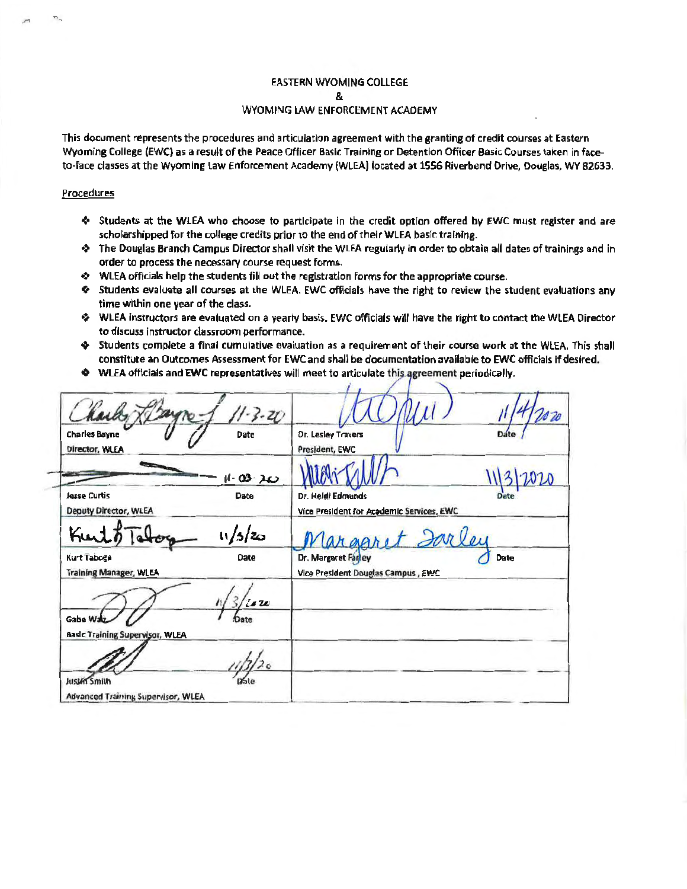# **EASTERN WYOMING COLLEGE** 8.

# WYOMING LAW ENFORCEMENT ACADEMY

This document represents the procedures and articulation agreement with the granting of credit courses at Eastern Wyoming College (EWC) as a result of the Peace Officer Basic Training or Detention Officer Basic Courses taken in faceto-face classes at the Wyoming Law Enforcement Academy (WLEA) located at 1556 Riverbend Drive, Douglas, WY 82633.

## Procedures

- ♦ Students at the WLEA who choose to participate in the credit option offered by EWC must register and are scholarshipped for the college credits prior to the end of their WLEA basic training.
- The Douglas Branch Campus Director shall visit the WLEA regularly in order to obtain all dates of trainings and in order to process the necessary course request forms.
- ♦ WLEA officials help the students fill out the registration forms for the appropriate course.
- ♦ Students evaluate all courses at the WLEA. EWC officials have the right to review the student evaluations any time within one year of the class.
- WLEA instructors are evaluated on a yearly basis. EWC officials will have the right to contact the WLEA Director to discuss instructor classroom performance.
- Students complete a final cumulative evaluation as a requirement of their course work at the WLEA. This shall constitute an Outcomes Assessment for EWC and shall be documentation available to EWC officials if desired.
- ♦ WLEA officials and EWC representatives will meet to articulate this agreement periodically.

| harley<br>$-3 - 20$                                         | V 20                                                              |
|-------------------------------------------------------------|-------------------------------------------------------------------|
| Date<br><b>Charles Bayne</b><br>Director, WLEA              | <b>Dr. Lesley Travers</b><br>Date<br>President, EWC               |
| $11 - 03 - 20$                                              |                                                                   |
| <b>Date</b><br><b>Jesse Curtis</b><br>Deputy Director, WLEA | Dr. Heidi Edmunds<br>Vice President for Academic Services, EWC    |
| 11/5/z<br>Kurt                                              | Cargaret Sarley                                                   |
| Date<br><b>Kurt Taboga</b><br><b>Training Manager, WLEA</b> | Date<br>Dr. Margaret Fanley<br>Vice President Douglas Campus, EWC |
| is w                                                        |                                                                   |
| Gabe Walz<br>Basic Training Supervisor, WLEA                |                                                                   |
| 2 <sub>6</sub>                                              |                                                                   |
| Justin Smith<br>Advanced Training Supervisor, WLEA          |                                                                   |